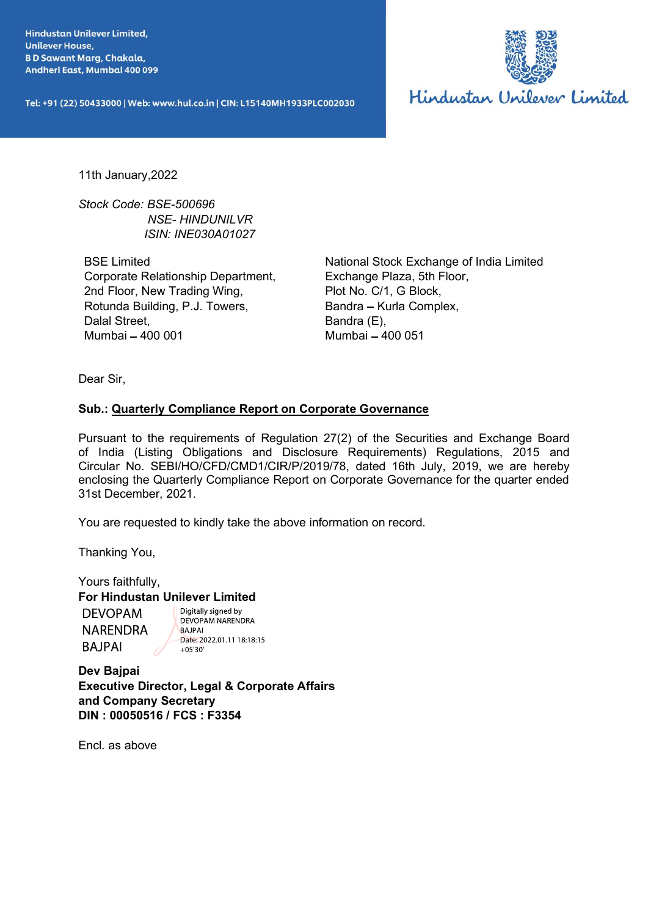**Unilever House,** 



11th January,2022

Stock Code: BSE-500696 ISIN: INE030A01027

BSE Limited Corporate Relationship Department, 2nd Floor, New Trading Wing, Rotunda Building, P.J. Towers, Dalal Street, Mumbai - 400 001

National Stock Exchange of India Limited Exchange Plaza, 5th Floor, Plot No. C/1, G Block, Bandra - Kurla Complex, Bandra (E), Mumbai - 400 051

Dear Sir,

11th January, 2022<br>
Stock Code: BSE-500696<br>
NSE Himled<br>
NSEN-HIMDUNILVR<br>
ISSE Limited<br>
Corporate Relationship Department,<br>
Exchange Plaza, 5th Floor, New Trading Wing,<br>
Rotunda Building, P.J. Towers,<br>
Radina Corporate Gove Pursuant to the requirements of Regulation 27(2) of the Securities and Exchange Board 11th January, 2022<br>
Stock Code: BSE-500696<br> *NSE:* HINDUNILVR<br>
ISIN: INE030A01027<br>
BSE Limited<br>
Corporate Relationship Department,<br>
2nd Floor, New Trading Wing,<br>
Plot No. C/1, G Blook,<br>
Rotunda Building, P.J. Towers,<br>
Band Stock Code: BSE-500696<br>
NSE-HINDUNILVR<br>
ISIN: INE030A01027<br>
BSE Limited<br>
Corporate Relationship Department,<br>
Carl Floor, New Trading Wing,<br>
Plot No. C/1, G Block,<br>
Rotunda Building, P.J. Towers,<br>
Bandra – Kurla Complex,<br>
D enclosing the Quarterly Compliance Report on Corporate Governance for the quarter ended 31st December, 2021. Sub.: <u>Quarterly Compliance Report on Corporate Governance</u><br>
Pursuant to the requirements of Regulation 27(2) of the Securities and Exchange B<br>
of India (Listing Obligations and Disclosure Requirements) Regulations, 2015<br>

You are requested to kindly take the above information on record.

Thanking You,

Yours faithfully, For Hindustan Unilever Limited

Dev Bajpai and Company Secretary DIN : 00050516 / FCS : F3354

Encl. as above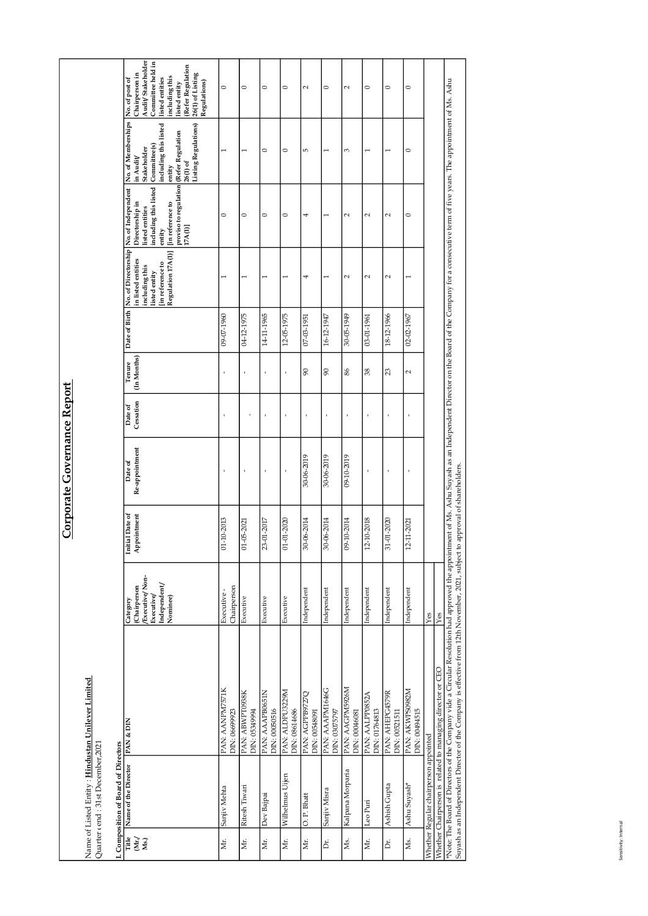| proviso to regulation<br>17A(1)]<br>including this listed<br>No. of Independent<br>Directorship in<br>[in reference to<br>listed entities<br>entity<br><b>Vo.</b> of Directorship<br>[in reference to<br>Regulation 17A(1)]<br>No. of Directorsl<br>in listed entities<br>including this<br>listed entity<br>1<br>$\overline{\phantom{0}}$<br>Date of Birth<br>09-07-1960<br>04-12-1975<br>Tenure<br>[In Months]<br>$\mathbf{r}$<br>Date of<br>Cessation<br>Date of<br>Re-appointment<br>$\mathbf{I}$<br>Initial Date of<br>Appointment<br>01-10-2013<br>01-05-2021<br>Category<br>(Chairperson<br>/Executive/Non-<br>$\mathtt{Independent}/$<br>Chairperson<br>Executive -<br>Executive/<br>Nominee)<br>Executive<br>Name of Listed Entity: Hindustan Unilever Limited<br>PAN: AANPM7571K<br>DIN: 0669923<br>PAN: ABWPT0938K<br>DIN: 05349994<br>I. Composition of Board of Directors<br>Title Name of the Director PAN & DIN<br>Quarter (end: 31st December, 2021<br>Ritesh Tiwari<br>Sanjiv Mehta<br>$\left  \begin{matrix} \frac{1}{1116} \\ 1 & \frac{1}{116} \\ 1 & \frac{1}{116} \\ 1 & \frac{1}{116} \\ 1 & \frac{1}{116} \\ 1 & \frac{1}{116} \\ 1 & \frac{1}{116} \\ 1 & \frac{1}{116} \\ 1 & \frac{1}{116} \\ 1 & \frac{1}{116} \\ 1 & \frac{1}{116} \\ 1 & \frac{1}{116} \\ 1 & \frac{1}{116} \\ 1 & \frac{1}{116} \\ 1 & \frac{1}{116} \\ 1 & \frac{1}{116} \\ 1 & \frac{$<br>Mr.<br>Mr. |
|-------------------------------------------------------------------------------------------------------------------------------------------------------------------------------------------------------------------------------------------------------------------------------------------------------------------------------------------------------------------------------------------------------------------------------------------------------------------------------------------------------------------------------------------------------------------------------------------------------------------------------------------------------------------------------------------------------------------------------------------------------------------------------------------------------------------------------------------------------------------------------------------------------------------------------------------------------------------------------------------------------------------------------------------------------------------------------------------------------------------------------------------------------------------------------------------------------------------------------------------------------------------------------------------------------------------------------------------------------------------------------------------------------|
|                                                                                                                                                                                                                                                                                                                                                                                                                                                                                                                                                                                                                                                                                                                                                                                                                                                                                                                                                                                                                                                                                                                                                                                                                                                                                                                                                                                                       |
|                                                                                                                                                                                                                                                                                                                                                                                                                                                                                                                                                                                                                                                                                                                                                                                                                                                                                                                                                                                                                                                                                                                                                                                                                                                                                                                                                                                                       |
|                                                                                                                                                                                                                                                                                                                                                                                                                                                                                                                                                                                                                                                                                                                                                                                                                                                                                                                                                                                                                                                                                                                                                                                                                                                                                                                                                                                                       |
|                                                                                                                                                                                                                                                                                                                                                                                                                                                                                                                                                                                                                                                                                                                                                                                                                                                                                                                                                                                                                                                                                                                                                                                                                                                                                                                                                                                                       |
|                                                                                                                                                                                                                                                                                                                                                                                                                                                                                                                                                                                                                                                                                                                                                                                                                                                                                                                                                                                                                                                                                                                                                                                                                                                                                                                                                                                                       |
| 1<br>14-11-1965<br>ł,<br>ł,<br>٠<br>23-01-2017<br>Executive<br>PAN: AAAPB0651N<br>DIN: 00050516<br>Dev Bajpai<br>Mr.                                                                                                                                                                                                                                                                                                                                                                                                                                                                                                                                                                                                                                                                                                                                                                                                                                                                                                                                                                                                                                                                                                                                                                                                                                                                                  |
| $\overline{ }$<br>12-05-1975<br>$01 - 01 - 2020$<br>Executive<br>PAN: ALDPU3229M<br>DIN: 08614686<br>Uijen<br>Wilhelmus<br>Mr.                                                                                                                                                                                                                                                                                                                                                                                                                                                                                                                                                                                                                                                                                                                                                                                                                                                                                                                                                                                                                                                                                                                                                                                                                                                                        |
| 4<br>$\frac{07 - 03 - 1951}{2}$<br>$\overline{6}$<br>30-06-2019<br>30-06-2014<br>Independent<br>PAN: AGPPB9727Q<br>DIN: 00548091<br>O.P. Bhatt<br> ä                                                                                                                                                                                                                                                                                                                                                                                                                                                                                                                                                                                                                                                                                                                                                                                                                                                                                                                                                                                                                                                                                                                                                                                                                                                  |
| $\overline{ }$<br>16-12-1947<br>$\infty$<br>$\mathbf{r}$<br>30-06-2019<br>30-06-2014<br>Independent<br>PAN: AAAPM1646G<br>DIN: 03075797<br>Sanjiv Misra<br>Ъ.                                                                                                                                                                                                                                                                                                                                                                                                                                                                                                                                                                                                                                                                                                                                                                                                                                                                                                                                                                                                                                                                                                                                                                                                                                         |
| $\sim$<br>30-05-1949<br>$86$<br>$\mathbf{r}$<br>09-10-2019<br>09-10-2014<br>Independent<br>PAN: AAGPM5926M<br>DIN: 00046081<br>Kalpana Morparia<br>Ms.                                                                                                                                                                                                                                                                                                                                                                                                                                                                                                                                                                                                                                                                                                                                                                                                                                                                                                                                                                                                                                                                                                                                                                                                                                                |
| $\sim$<br>03-01-1961<br>38<br>12-10-2018<br>Independent<br>PAN: AALPP0852A<br>DIN: 01764813<br>Leo Puri<br>E.                                                                                                                                                                                                                                                                                                                                                                                                                                                                                                                                                                                                                                                                                                                                                                                                                                                                                                                                                                                                                                                                                                                                                                                                                                                                                         |
| $\sim$<br>18-12-1966<br>$\overline{c}$<br>31-01-2020<br>Independent<br>PAN: AHEPG4579R<br>DIN: 00521511<br>Ashish Gupta<br>Dr.                                                                                                                                                                                                                                                                                                                                                                                                                                                                                                                                                                                                                                                                                                                                                                                                                                                                                                                                                                                                                                                                                                                                                                                                                                                                        |
| $\overline{ }$<br>02-02-1967<br>2<br>$\mathbf{I}$<br>$\mathbf{I}$<br>12-11-2021<br>Independent<br>Ashu Suyash*<br>Ns.                                                                                                                                                                                                                                                                                                                                                                                                                                                                                                                                                                                                                                                                                                                                                                                                                                                                                                                                                                                                                                                                                                                                                                                                                                                                                 |
|                                                                                                                                                                                                                                                                                                                                                                                                                                                                                                                                                                                                                                                                                                                                                                                                                                                                                                                                                                                                                                                                                                                                                                                                                                                                                                                                                                                                       |
| PAN: AKWPS0982M<br>DIN: 00494515                                                                                                                                                                                                                                                                                                                                                                                                                                                                                                                                                                                                                                                                                                                                                                                                                                                                                                                                                                                                                                                                                                                                                                                                                                                                                                                                                                      |
| $\bar{Y}$ es<br>Whether Regular chairperson appointed                                                                                                                                                                                                                                                                                                                                                                                                                                                                                                                                                                                                                                                                                                                                                                                                                                                                                                                                                                                                                                                                                                                                                                                                                                                                                                                                                 |
| *Note: The Board of Directors of the Company vide a Circular Resolution had approved the appointment of Ms. Ashu Suyash as an Independent Director on the Board of the Company for a consecutive term of five years. The appoi<br>Yes<br>Whether Chairperson is related to managing director or CEO                                                                                                                                                                                                                                                                                                                                                                                                                                                                                                                                                                                                                                                                                                                                                                                                                                                                                                                                                                                                                                                                                                   |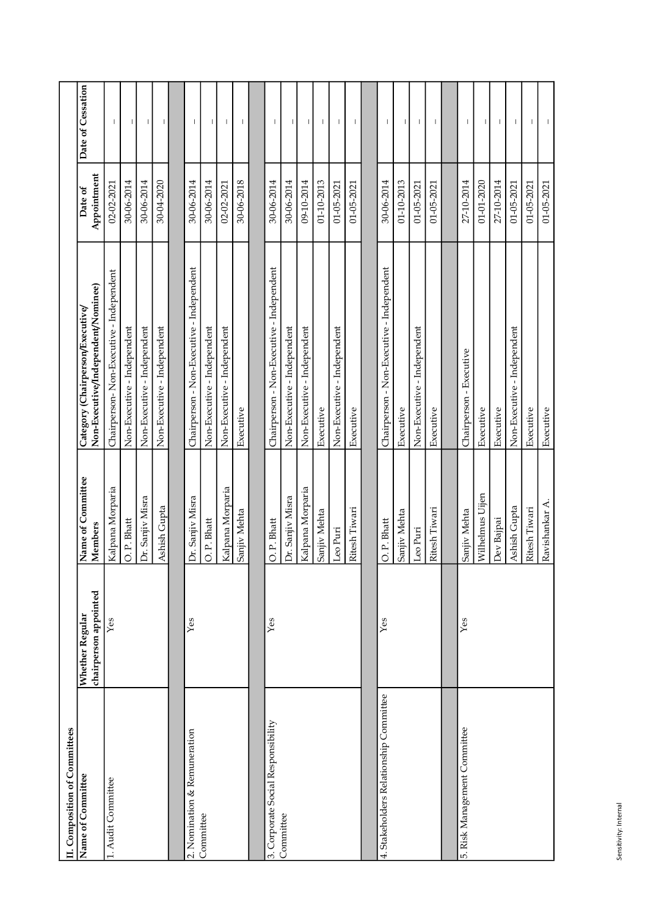| II. Composition of Committees<br>Name of Committee | chairperson appointed<br>Whether Regular | Name of Committee<br>Members    | Non-Executive/Independent/Nominee)<br>Category (Chairperson/Executive)   | Appointment<br>Date of   | Date of Cessation |
|----------------------------------------------------|------------------------------------------|---------------------------------|--------------------------------------------------------------------------|--------------------------|-------------------|
| 1. Audit Committee                                 | Yes                                      | Kalpana Morparia                | Chairperson-Non-Executive - Independent                                  | 02-02-2021               |                   |
|                                                    |                                          | O. P. Bhatt                     | Non-Executive - Independent                                              | 30-06-2014               | $\mathbf{I}$      |
|                                                    |                                          | Dr. Sanjiv Misra                | Non-Executive - Independent                                              | 30-06-2014               |                   |
|                                                    |                                          | Ashish Gupta                    | Non-Executive - Independent                                              | 30-04-2020               |                   |
| 2. Nomination & Remuneration                       | $\bar{\chi}_{\text{ess}}$                |                                 |                                                                          |                          |                   |
| Committee                                          |                                          | Dr. Sanjiv Misra<br>O. P. Bhatt | Chairperson - Non-Executive - Independent<br>Non-Executive - Independent | 30-06-2014<br>30-06-2014 | $\mathbf{I}$      |
|                                                    |                                          | Kalpana Morparia                | Non-Executive - Independent                                              | $02 - 02 - 2021$         |                   |
|                                                    |                                          | Sanjiv Mehta                    | Executive                                                                | 30-06-2018               |                   |
|                                                    |                                          |                                 |                                                                          |                          |                   |
| 3. Corporate Social Responsibility                 | Yes                                      | O. P. Bhatt                     | Chairperson - Non-Executive - Independent                                | 30-06-2014               | $\overline{1}$    |
| Committee                                          |                                          | Dr. Sanjiv Misra                | Non-Executive - Independent                                              | 30-06-2014               |                   |
|                                                    |                                          | Kalpana Morparia                | Non-Executive - Independent                                              | 09-10-2014               |                   |
|                                                    |                                          | Sanjiv Mehta                    | Executive                                                                | 01-10-2013               |                   |
|                                                    |                                          | Leo Puri                        | Non-Executive - Independent                                              | 01-05-2021               |                   |
|                                                    |                                          | Ritesh Tiwari                   | Executive                                                                | 01-05-2021               |                   |
|                                                    |                                          |                                 |                                                                          |                          |                   |
| 4. Stakeholders Relationship Committee             | Yes                                      | O. P. Bhatt                     | Chairperson - Non-Executive - Independent                                | 30-06-2014               |                   |
|                                                    |                                          | Sanjiv Mehta                    | Executive                                                                | 01-10-2013               | $\overline{1}$    |
|                                                    |                                          | Leo Puri                        | Non-Executive - Independent                                              | 01-05-2021               |                   |
|                                                    |                                          | Ritesh Tiwari                   | Executive                                                                | 01-05-2021               | $\overline{1}$    |
|                                                    |                                          |                                 |                                                                          |                          |                   |
| 5. Risk Management Committee                       | $\overline{Y}$ es                        | Sanjiv Mehta                    | Chairperson - Executive                                                  | 27-10-2014               |                   |
|                                                    |                                          | Wilhelmus Uijen                 | Executive                                                                | 01-01-2020               |                   |
|                                                    |                                          | Dev Bajpai                      | Executive                                                                | 27-10-2014               |                   |
|                                                    |                                          |                                 |                                                                          |                          |                   |
|                                                    |                                          | Ashish Gupta                    | Non-Executive - Independent                                              | 01-05-2021               |                   |
|                                                    |                                          | Ritesh Tiwari                   | Executive                                                                | 01-05-2021               |                   |
|                                                    |                                          | Ravishankar A.                  | Executive                                                                | 01-05-2021               |                   |